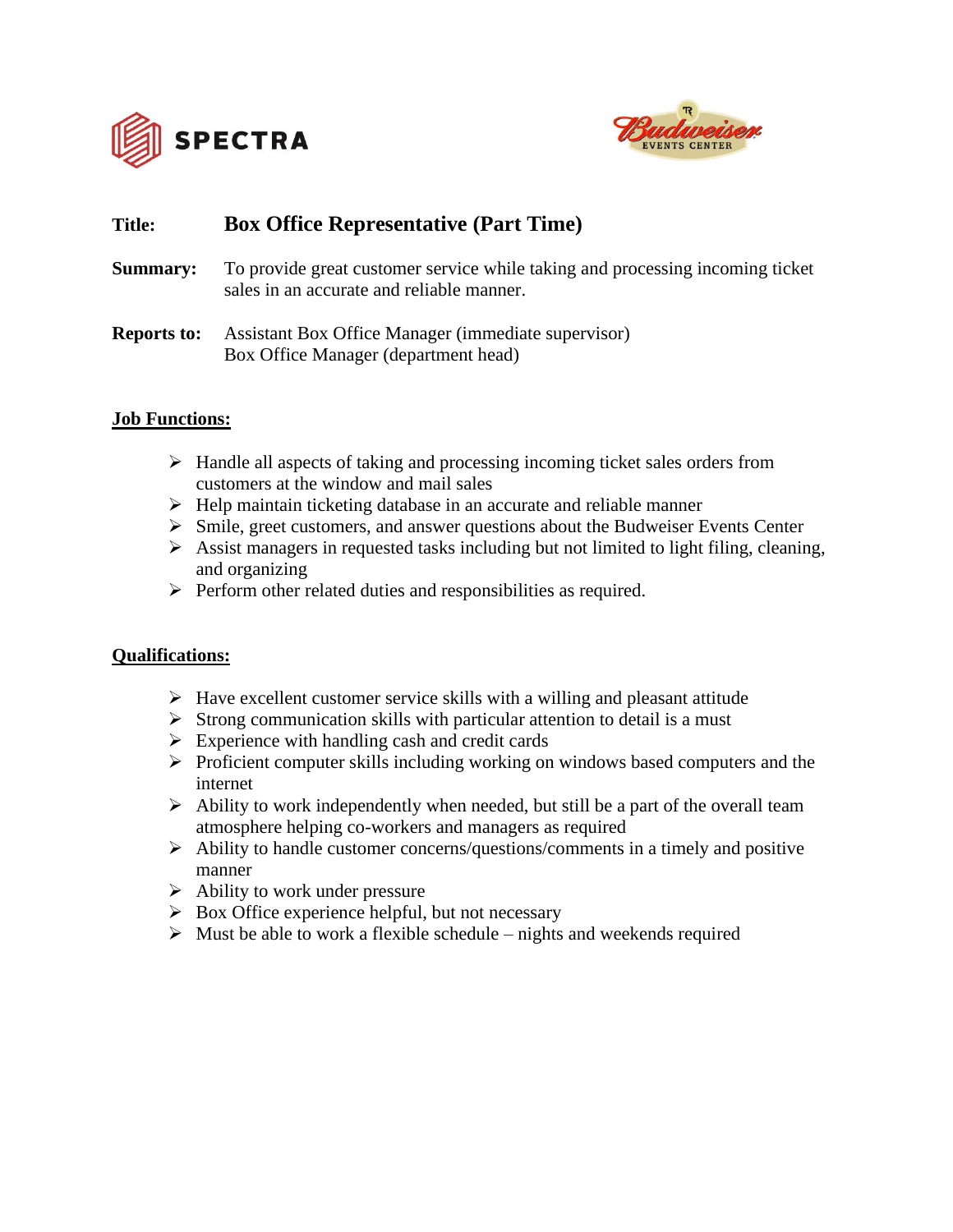



# **Title: Box Office Representative (Part Time)**

**Summary:** To provide great customer service while taking and processing incoming ticket sales in an accurate and reliable manner.

# **Reports to:** Assistant Box Office Manager (immediate supervisor) Box Office Manager (department head)

# **Job Functions:**

- ➢ Handle all aspects of taking and processing incoming ticket sales orders from customers at the window and mail sales
- ➢ Help maintain ticketing database in an accurate and reliable manner
- $\triangleright$  Smile, greet customers, and answer questions about the Budweiser Events Center
- ➢ Assist managers in requested tasks including but not limited to light filing, cleaning, and organizing
- ➢ Perform other related duties and responsibilities as required.

### **Qualifications:**

- $\triangleright$  Have excellent customer service skills with a willing and pleasant attitude
- $\triangleright$  Strong communication skills with particular attention to detail is a must
- $\triangleright$  Experience with handling cash and credit cards
- ➢ Proficient computer skills including working on windows based computers and the internet
- $\triangleright$  Ability to work independently when needed, but still be a part of the overall team atmosphere helping co-workers and managers as required
- ➢ Ability to handle customer concerns/questions/comments in a timely and positive manner
- $\triangleright$  Ability to work under pressure
- $\triangleright$  Box Office experience helpful, but not necessary
- $\triangleright$  Must be able to work a flexible schedule nights and weekends required